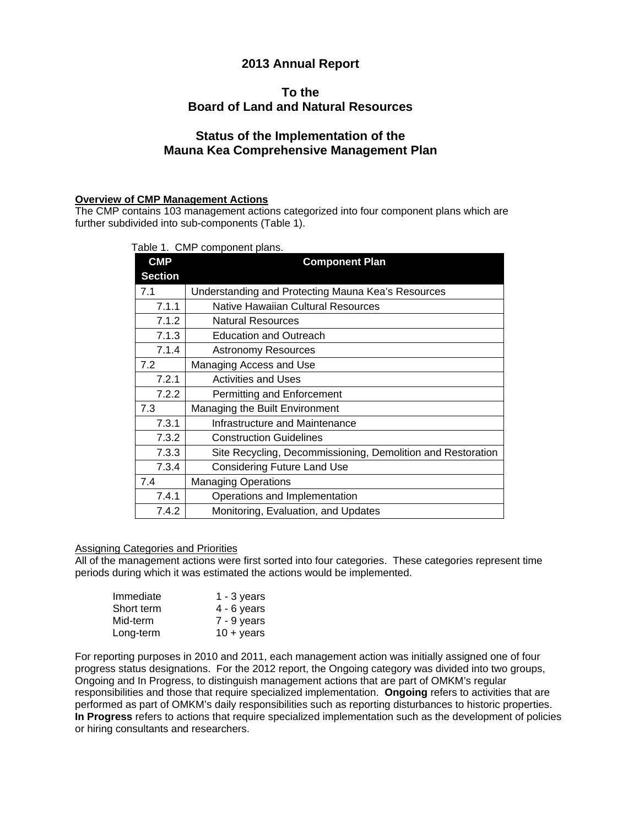## **2013 Annual Report**

## **To the Board of Land and Natural Resources**

## **Status of the Implementation of the Mauna Kea Comprehensive Management Plan**

### **Overview of CMP Management Actions**

The CMP contains 103 management actions categorized into four component plans which are further subdivided into sub-components (Table 1).

| Table 1. CMP component plans. |  |  |  |  |
|-------------------------------|--|--|--|--|
|-------------------------------|--|--|--|--|

| <b>CMP</b>     | <b>Component Plan</b>                                       |
|----------------|-------------------------------------------------------------|
| <b>Section</b> |                                                             |
| 7.1            | Understanding and Protecting Mauna Kea's Resources          |
| 7.1.1          | <b>Native Hawaiian Cultural Resources</b>                   |
| 7.1.2          | <b>Natural Resources</b>                                    |
| 7.1.3          | <b>Education and Outreach</b>                               |
| 7.1.4          | <b>Astronomy Resources</b>                                  |
| 7.2            | Managing Access and Use                                     |
| 7.2.1          | <b>Activities and Uses</b>                                  |
| 7.2.2          | Permitting and Enforcement                                  |
| 7.3            | Managing the Built Environment                              |
| 7.3.1          | Infrastructure and Maintenance                              |
| 7.3.2          | <b>Construction Guidelines</b>                              |
| 7.3.3          | Site Recycling, Decommissioning, Demolition and Restoration |
| 7.3.4          | <b>Considering Future Land Use</b>                          |
| 7.4            | <b>Managing Operations</b>                                  |
| 7.4.1          | Operations and Implementation                               |
| 7.4.2          | Monitoring, Evaluation, and Updates                         |

#### Assigning Categories and Priorities

All of the management actions were first sorted into four categories. These categories represent time periods during which it was estimated the actions would be implemented.

| Immediate  | 1 - $3$ years       |
|------------|---------------------|
| Short term | $4 - 6$ years       |
| Mid-term   | $7 - 9$ years       |
| Long-term  | $10 + \text{years}$ |

For reporting purposes in 2010 and 2011, each management action was initially assigned one of four progress status designations. For the 2012 report, the Ongoing category was divided into two groups, Ongoing and In Progress, to distinguish management actions that are part of OMKM's regular responsibilities and those that require specialized implementation. **Ongoing** refers to activities that are performed as part of OMKM's daily responsibilities such as reporting disturbances to historic properties. **In Progress** refers to actions that require specialized implementation such as the development of policies or hiring consultants and researchers.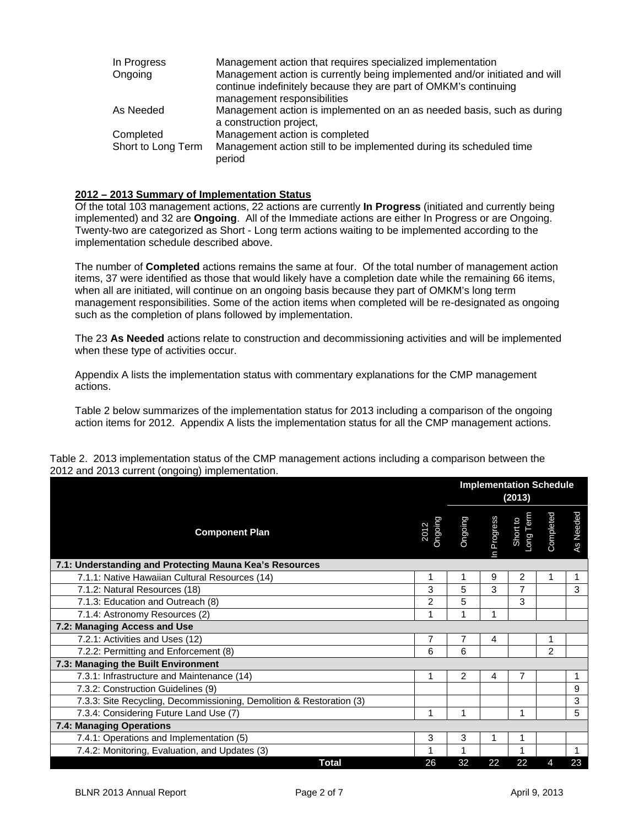| In Progress<br>Ongoing | Management action that requires specialized implementation<br>Management action is currently being implemented and/or initiated and will<br>continue indefinitely because they are part of OMKM's continuing<br>management responsibilities |
|------------------------|---------------------------------------------------------------------------------------------------------------------------------------------------------------------------------------------------------------------------------------------|
| As Needed              | Management action is implemented on an as needed basis, such as during<br>a construction project,                                                                                                                                           |
| Completed              | Management action is completed                                                                                                                                                                                                              |
| Short to Long Term     | Management action still to be implemented during its scheduled time<br>period                                                                                                                                                               |

### **2012 – 2013 Summary of Implementation Status**

Of the total 103 management actions, 22 actions are currently **In Progress** (initiated and currently being implemented) and 32 are **Ongoing**. All of the Immediate actions are either In Progress or are Ongoing. Twenty-two are categorized as Short - Long term actions waiting to be implemented according to the implementation schedule described above.

The number of **Completed** actions remains the same at four. Of the total number of management action items, 37 were identified as those that would likely have a completion date while the remaining 66 items, when all are initiated, will continue on an ongoing basis because they part of OMKM's long term management responsibilities. Some of the action items when completed will be re-designated as ongoing such as the completion of plans followed by implementation.

The 23 **As Needed** actions relate to construction and decommissioning activities and will be implemented when these type of activities occur.

Appendix A lists the implementation status with commentary explanations for the CMP management actions.

Table 2 below summarizes of the implementation status for 2013 including a comparison of the ongoing action items for 2012. Appendix A lists the implementation status for all the CMP management actions.

|                                                                      |                 | <b>Implementation Schedule</b><br>(2013) |             |                       |                |                  |
|----------------------------------------------------------------------|-----------------|------------------------------------------|-------------|-----------------------|----------------|------------------|
| <b>Component Plan</b>                                                | 2012<br>Ongoing | Ongoing                                  | In Progress | Short to<br>-ong Term | Completed      | <b>As Needed</b> |
| 7.1: Understanding and Protecting Mauna Kea's Resources              |                 |                                          |             |                       |                |                  |
| 7.1.1: Native Hawaiian Cultural Resources (14)                       | 1               | 1                                        | 9           | $\overline{2}$        |                |                  |
| 7.1.2: Natural Resources (18)                                        | 3               | 5                                        | 3           | 7                     |                | 3                |
| 7.1.3: Education and Outreach (8)                                    | 2               | 5                                        |             | 3                     |                |                  |
| 7.1.4: Astronomy Resources (2)                                       |                 | 1                                        |             |                       |                |                  |
| 7.2: Managing Access and Use                                         |                 |                                          |             |                       |                |                  |
| 7.2.1: Activities and Uses (12)                                      | 7               | 7                                        | 4           |                       |                |                  |
| 7.2.2: Permitting and Enforcement (8)                                | 6               | 6                                        |             |                       | $\overline{2}$ |                  |
| 7.3: Managing the Built Environment                                  |                 |                                          |             |                       |                |                  |
| 7.3.1: Infrastructure and Maintenance (14)                           |                 | $\overline{c}$                           | 4           | 7                     |                |                  |
| 7.3.2: Construction Guidelines (9)                                   |                 |                                          |             |                       |                | 9                |
| 7.3.3: Site Recycling, Decommissioning, Demolition & Restoration (3) |                 |                                          |             |                       |                | 3                |
| 7.3.4: Considering Future Land Use (7)                               | 1               | 1                                        |             | 1                     |                | 5                |
| 7.4: Managing Operations                                             |                 |                                          |             |                       |                |                  |
| 7.4.1: Operations and Implementation (5)                             | 3               | 3                                        |             |                       |                |                  |
| 7.4.2: Monitoring, Evaluation, and Updates (3)                       | 1               | 1                                        |             | 1                     |                |                  |
| <b>Total</b>                                                         | 26              | 32                                       | 22          | 22                    |                | 23               |

Table 2. 2013 implementation status of the CMP management actions including a comparison between the 2012 and 2013 current (ongoing) implementation.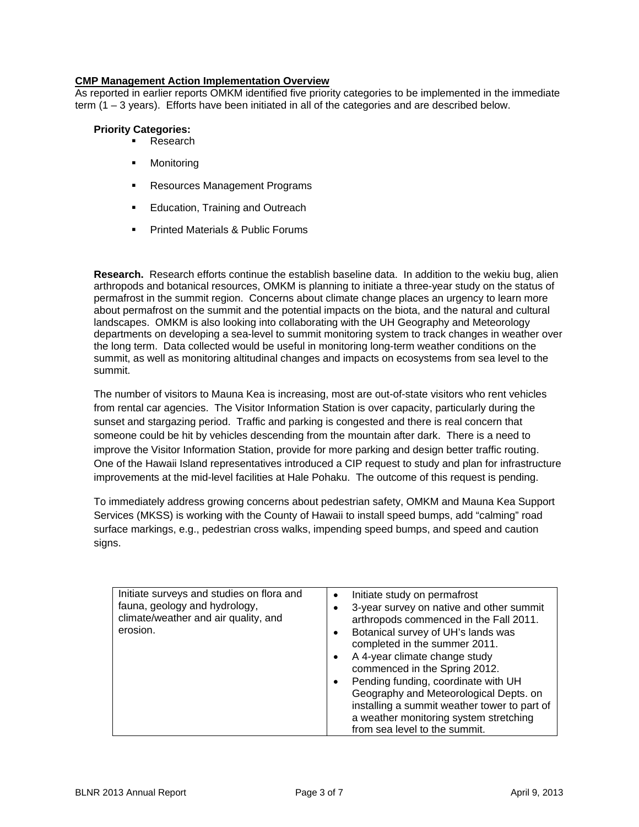### **CMP Management Action Implementation Overview**

As reported in earlier reports OMKM identified five priority categories to be implemented in the immediate term (1 – 3 years). Efforts have been initiated in all of the categories and are described below.

### **Priority Categories:**

- Research
- Monitoring
- Resources Management Programs
- **Education, Training and Outreach**
- **Printed Materials & Public Forums**

**Research.** Research efforts continue the establish baseline data. In addition to the wekiu bug, alien arthropods and botanical resources, OMKM is planning to initiate a three-year study on the status of permafrost in the summit region. Concerns about climate change places an urgency to learn more about permafrost on the summit and the potential impacts on the biota, and the natural and cultural landscapes. OMKM is also looking into collaborating with the UH Geography and Meteorology departments on developing a sea-level to summit monitoring system to track changes in weather over the long term. Data collected would be useful in monitoring long-term weather conditions on the summit, as well as monitoring altitudinal changes and impacts on ecosystems from sea level to the summit.

The number of visitors to Mauna Kea is increasing, most are out-of-state visitors who rent vehicles from rental car agencies. The Visitor Information Station is over capacity, particularly during the sunset and stargazing period. Traffic and parking is congested and there is real concern that someone could be hit by vehicles descending from the mountain after dark. There is a need to improve the Visitor Information Station, provide for more parking and design better traffic routing. One of the Hawaii Island representatives introduced a CIP request to study and plan for infrastructure improvements at the mid-level facilities at Hale Pohaku. The outcome of this request is pending.

To immediately address growing concerns about pedestrian safety, OMKM and Mauna Kea Support Services (MKSS) is working with the County of Hawaii to install speed bumps, add "calming" road surface markings, e.g., pedestrian cross walks, impending speed bumps, and speed and caution signs.

| Initiate surveys and studies on flora and<br>fauna, geology and hydrology,<br>climate/weather and air quality, and<br>erosion. | Initiate study on permafrost<br>$\bullet$<br>3-year survey on native and other summit<br>$\bullet$<br>arthropods commenced in the Fall 2011.<br>Botanical survey of UH's lands was<br>$\bullet$<br>completed in the summer 2011.<br>A 4-year climate change study<br>$\bullet$<br>commenced in the Spring 2012.<br>Pending funding, coordinate with UH<br>$\bullet$<br>Geography and Meteorological Depts. on<br>installing a summit weather tower to part of<br>a weather monitoring system stretching<br>from sea level to the summit. |
|--------------------------------------------------------------------------------------------------------------------------------|------------------------------------------------------------------------------------------------------------------------------------------------------------------------------------------------------------------------------------------------------------------------------------------------------------------------------------------------------------------------------------------------------------------------------------------------------------------------------------------------------------------------------------------|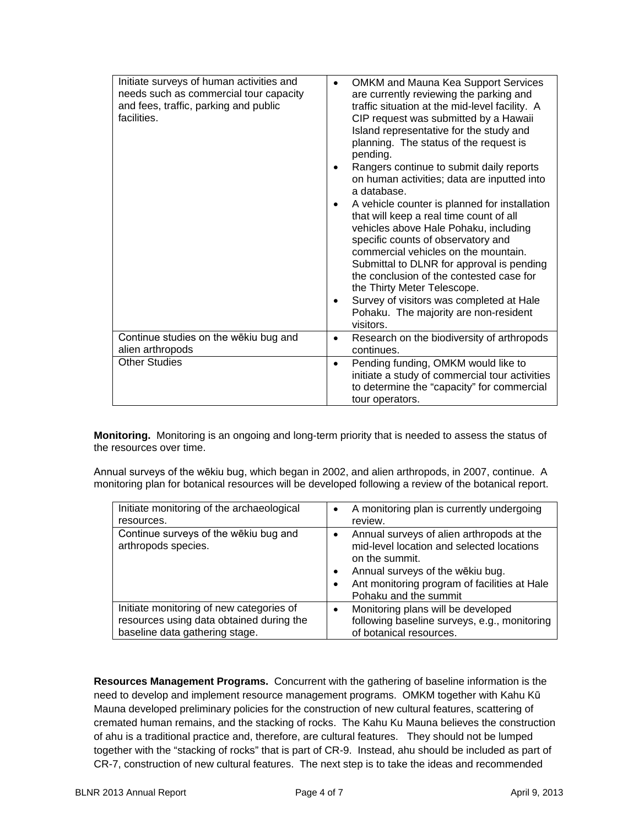| Initiate surveys of human activities and<br>needs such as commercial tour capacity<br>and fees, traffic, parking and public<br>facilities. | <b>OMKM and Mauna Kea Support Services</b><br>$\bullet$<br>are currently reviewing the parking and<br>traffic situation at the mid-level facility. A<br>CIP request was submitted by a Hawaii<br>Island representative for the study and<br>planning. The status of the request is<br>pending.<br>Rangers continue to submit daily reports<br>on human activities; data are inputted into<br>a database.<br>A vehicle counter is planned for installation<br>٠<br>that will keep a real time count of all<br>vehicles above Hale Pohaku, including<br>specific counts of observatory and<br>commercial vehicles on the mountain.<br>Submittal to DLNR for approval is pending<br>the conclusion of the contested case for<br>the Thirty Meter Telescope.<br>Survey of visitors was completed at Hale<br>٠<br>Pohaku. The majority are non-resident<br>visitors. |
|--------------------------------------------------------------------------------------------------------------------------------------------|-----------------------------------------------------------------------------------------------------------------------------------------------------------------------------------------------------------------------------------------------------------------------------------------------------------------------------------------------------------------------------------------------------------------------------------------------------------------------------------------------------------------------------------------------------------------------------------------------------------------------------------------------------------------------------------------------------------------------------------------------------------------------------------------------------------------------------------------------------------------|
| Continue studies on the wēkiu bug and<br>alien arthropods                                                                                  | Research on the biodiversity of arthropods<br>$\bullet$<br>continues.                                                                                                                                                                                                                                                                                                                                                                                                                                                                                                                                                                                                                                                                                                                                                                                           |
| <b>Other Studies</b>                                                                                                                       | Pending funding, OMKM would like to<br>$\bullet$<br>initiate a study of commercial tour activities<br>to determine the "capacity" for commercial<br>tour operators.                                                                                                                                                                                                                                                                                                                                                                                                                                                                                                                                                                                                                                                                                             |

**Monitoring.** Monitoring is an ongoing and long-term priority that is needed to assess the status of the resources over time.

Annual surveys of the wēkiu bug, which began in 2002, and alien arthropods, in 2007, continue. A monitoring plan for botanical resources will be developed following a review of the botanical report.

| Initiate monitoring of the archaeological<br>resources.      | A monitoring plan is currently undergoing<br>$\bullet$<br>review.                                                                                                                                                                                            |
|--------------------------------------------------------------|--------------------------------------------------------------------------------------------------------------------------------------------------------------------------------------------------------------------------------------------------------------|
| Continue surveys of the wekiu bug and<br>arthropods species. | Annual surveys of alien arthropods at the<br>$\bullet$<br>mid-level location and selected locations<br>on the summit.<br>Annual surveys of the wekiu bug.<br>$\bullet$<br>Ant monitoring program of facilities at Hale<br>$\bullet$<br>Pohaku and the summit |
| Initiate monitoring of new categories of                     | Monitoring plans will be developed<br>$\bullet$                                                                                                                                                                                                              |
| resources using data obtained during the                     | following baseline surveys, e.g., monitoring                                                                                                                                                                                                                 |
| baseline data gathering stage.                               | of botanical resources.                                                                                                                                                                                                                                      |

**Resources Management Programs.** Concurrent with the gathering of baseline information is the need to develop and implement resource management programs. OMKM together with Kahu Kū Mauna developed preliminary policies for the construction of new cultural features, scattering of cremated human remains, and the stacking of rocks. The Kahu Ku Mauna believes the construction of ahu is a traditional practice and, therefore, are cultural features. They should not be lumped together with the "stacking of rocks" that is part of CR-9. Instead, ahu should be included as part of CR-7, construction of new cultural features. The next step is to take the ideas and recommended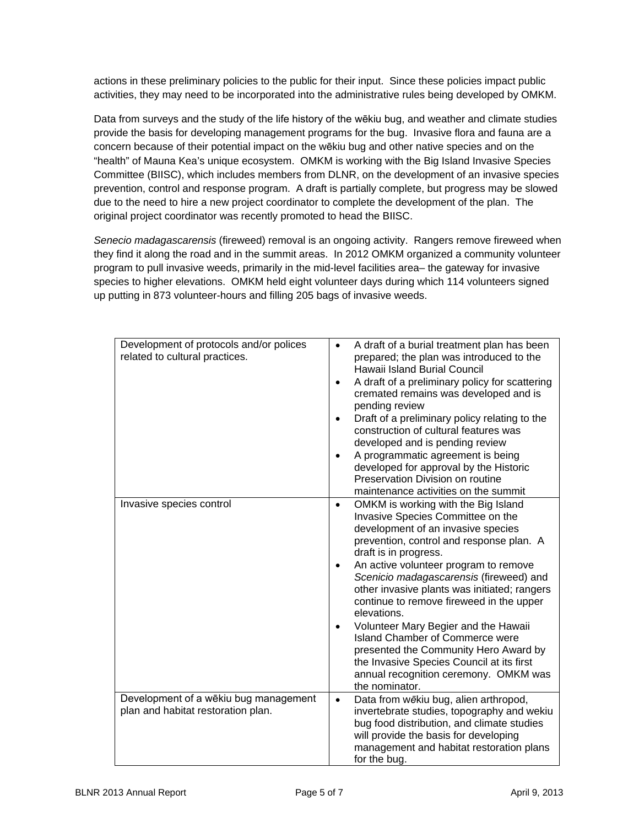actions in these preliminary policies to the public for their input. Since these policies impact public activities, they may need to be incorporated into the administrative rules being developed by OMKM.

Data from surveys and the study of the life history of the wēkiu bug, and weather and climate studies provide the basis for developing management programs for the bug. Invasive flora and fauna are a concern because of their potential impact on the wēkiu bug and other native species and on the "health" of Mauna Kea's unique ecosystem. OMKM is working with the Big Island Invasive Species Committee (BIISC), which includes members from DLNR, on the development of an invasive species prevention, control and response program. A draft is partially complete, but progress may be slowed due to the need to hire a new project coordinator to complete the development of the plan. The original project coordinator was recently promoted to head the BIISC.

*Senecio madagascarensis* (fireweed) removal is an ongoing activity. Rangers remove fireweed when they find it along the road and in the summit areas. In 2012 OMKM organized a community volunteer program to pull invasive weeds, primarily in the mid-level facilities area– the gateway for invasive species to higher elevations. OMKM held eight volunteer days during which 114 volunteers signed up putting in 873 volunteer-hours and filling 205 bags of invasive weeds.

| Development of protocols and/or polices<br>related to cultural practices.   | A draft of a burial treatment plan has been<br>prepared; the plan was introduced to the<br>Hawaii Island Burial Council<br>A draft of a preliminary policy for scattering<br>cremated remains was developed and is<br>pending review<br>Draft of a preliminary policy relating to the<br>construction of cultural features was<br>developed and is pending review<br>A programmatic agreement is being<br>developed for approval by the Historic<br>Preservation Division on routine<br>maintenance activities on the summit                                                                                                       |
|-----------------------------------------------------------------------------|------------------------------------------------------------------------------------------------------------------------------------------------------------------------------------------------------------------------------------------------------------------------------------------------------------------------------------------------------------------------------------------------------------------------------------------------------------------------------------------------------------------------------------------------------------------------------------------------------------------------------------|
| Invasive species control                                                    | OMKM is working with the Big Island<br>$\bullet$<br>Invasive Species Committee on the<br>development of an invasive species<br>prevention, control and response plan. A<br>draft is in progress.<br>An active volunteer program to remove<br>Scenicio madagascarensis (fireweed) and<br>other invasive plants was initiated; rangers<br>continue to remove fireweed in the upper<br>elevations.<br>Volunteer Mary Begier and the Hawaii<br><b>Island Chamber of Commerce were</b><br>presented the Community Hero Award by<br>the Invasive Species Council at its first<br>annual recognition ceremony. OMKM was<br>the nominator. |
| Development of a wēkiu bug management<br>plan and habitat restoration plan. | Data from wēkiu bug, alien arthropod,<br>$\bullet$<br>invertebrate studies, topography and wekiu<br>bug food distribution, and climate studies<br>will provide the basis for developing<br>management and habitat restoration plans<br>for the bug.                                                                                                                                                                                                                                                                                                                                                                                |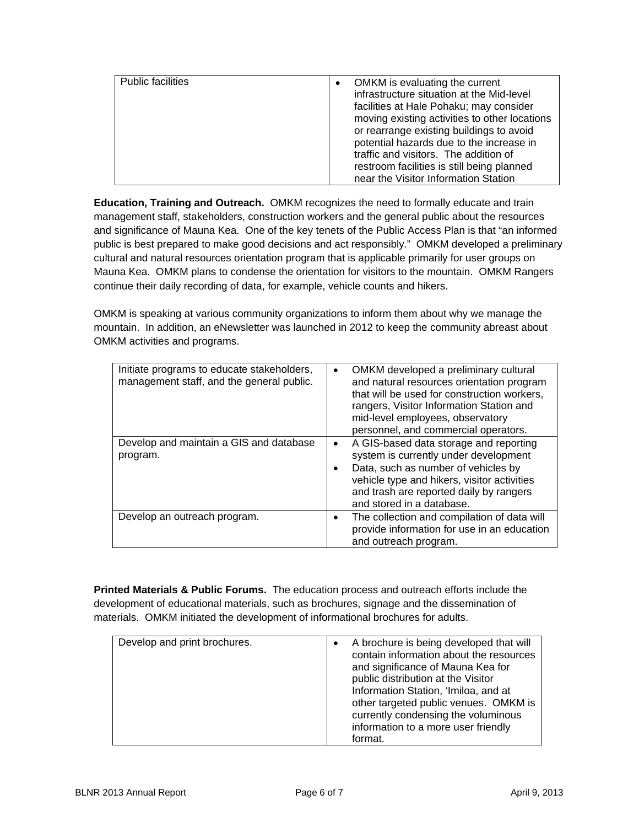**Education, Training and Outreach.** OMKM recognizes the need to formally educate and train management staff, stakeholders, construction workers and the general public about the resources and significance of Mauna Kea. One of the key tenets of the Public Access Plan is that "an informed public is best prepared to make good decisions and act responsibly." OMKM developed a preliminary cultural and natural resources orientation program that is applicable primarily for user groups on Mauna Kea. OMKM plans to condense the orientation for visitors to the mountain. OMKM Rangers continue their daily recording of data, for example, vehicle counts and hikers.

OMKM is speaking at various community organizations to inform them about why we manage the mountain. In addition, an eNewsletter was launched in 2012 to keep the community abreast about OMKM activities and programs.

| Initiate programs to educate stakeholders,<br>management staff, and the general public. | OMKM developed a preliminary cultural<br>$\bullet$<br>and natural resources orientation program<br>that will be used for construction workers.<br>rangers, Visitor Information Station and<br>mid-level employees, observatory<br>personnel, and commercial operators. |
|-----------------------------------------------------------------------------------------|------------------------------------------------------------------------------------------------------------------------------------------------------------------------------------------------------------------------------------------------------------------------|
| Develop and maintain a GIS and database<br>program.                                     | A GIS-based data storage and reporting<br>$\bullet$<br>system is currently under development<br>Data, such as number of vehicles by<br>٠<br>vehicle type and hikers, visitor activities<br>and trash are reported daily by rangers<br>and stored in a database.        |
| Develop an outreach program.                                                            | The collection and compilation of data will<br>٠<br>provide information for use in an education<br>and outreach program.                                                                                                                                               |

**Printed Materials & Public Forums.** The education process and outreach efforts include the development of educational materials, such as brochures, signage and the dissemination of materials. OMKM initiated the development of informational brochures for adults.

| Develop and print brochures. | A brochure is being developed that will<br>contain information about the resources<br>and significance of Mauna Kea for<br>public distribution at the Visitor<br>Information Station, 'Imiloa, and at<br>other targeted public venues. OMKM is<br>currently condensing the voluminous<br>information to a more user friendly<br>format. |
|------------------------------|-----------------------------------------------------------------------------------------------------------------------------------------------------------------------------------------------------------------------------------------------------------------------------------------------------------------------------------------|
|------------------------------|-----------------------------------------------------------------------------------------------------------------------------------------------------------------------------------------------------------------------------------------------------------------------------------------------------------------------------------------|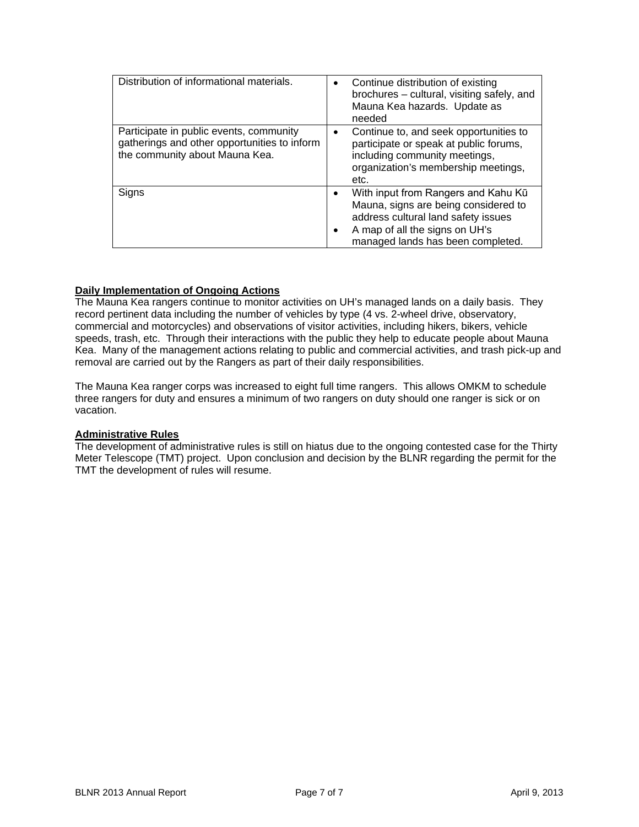| Distribution of informational materials.                                                                                  | Continue distribution of existing<br>$\bullet$<br>brochures - cultural, visiting safely, and<br>Mauna Kea hazards. Update as<br>needed                                                                 |
|---------------------------------------------------------------------------------------------------------------------------|--------------------------------------------------------------------------------------------------------------------------------------------------------------------------------------------------------|
| Participate in public events, community<br>gatherings and other opportunities to inform<br>the community about Mauna Kea. | Continue to, and seek opportunities to<br>$\bullet$<br>participate or speak at public forums,<br>including community meetings,<br>organization's membership meetings,<br>etc.                          |
| Signs                                                                                                                     | With input from Rangers and Kahu Kū<br>$\bullet$<br>Mauna, signs are being considered to<br>address cultural land safety issues<br>A map of all the signs on UH's<br>managed lands has been completed. |

### **Daily Implementation of Ongoing Actions**

The Mauna Kea rangers continue to monitor activities on UH's managed lands on a daily basis. They record pertinent data including the number of vehicles by type (4 vs. 2-wheel drive, observatory, commercial and motorcycles) and observations of visitor activities, including hikers, bikers, vehicle speeds, trash, etc. Through their interactions with the public they help to educate people about Mauna Kea. Many of the management actions relating to public and commercial activities, and trash pick-up and removal are carried out by the Rangers as part of their daily responsibilities.

The Mauna Kea ranger corps was increased to eight full time rangers. This allows OMKM to schedule three rangers for duty and ensures a minimum of two rangers on duty should one ranger is sick or on vacation.

### **Administrative Rules**

The development of administrative rules is still on hiatus due to the ongoing contested case for the Thirty Meter Telescope (TMT) project. Upon conclusion and decision by the BLNR regarding the permit for the TMT the development of rules will resume.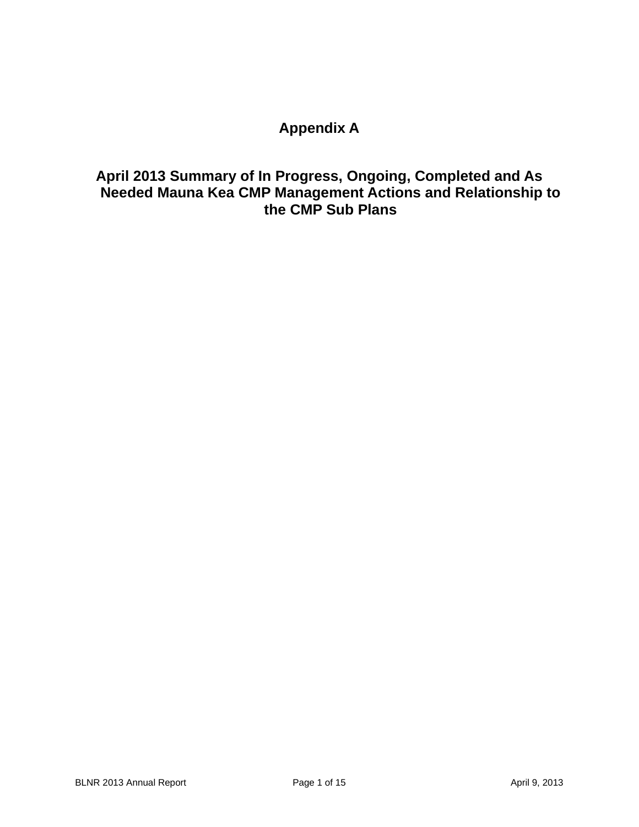# **Appendix A**

## **April 2013 Summary of In Progress, Ongoing, Completed and As Needed Mauna Kea CMP Management Actions and Relationship to the CMP Sub Plans**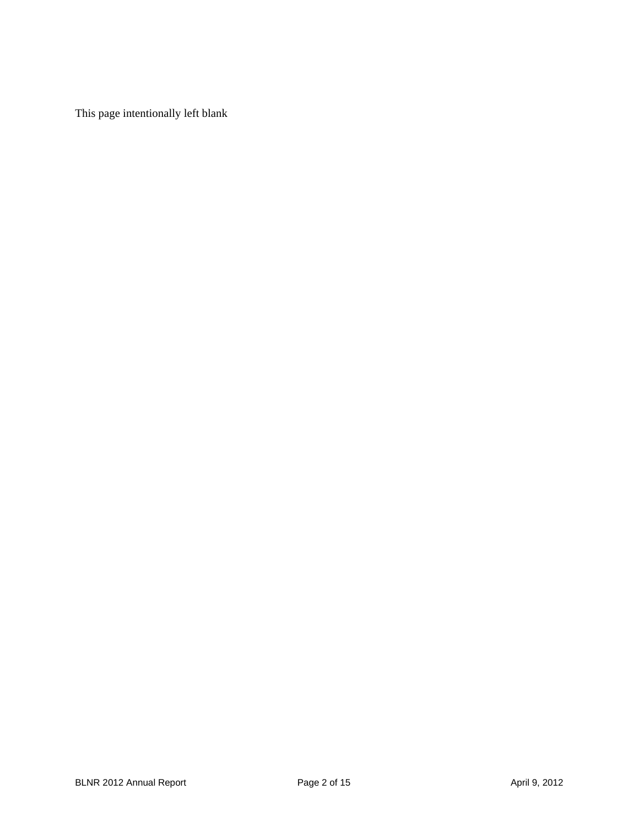This page intentionally left blank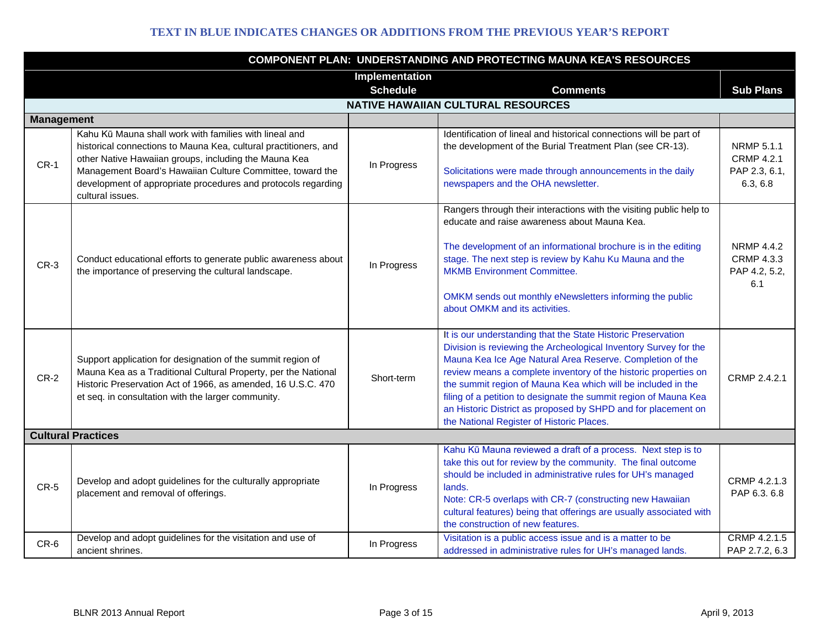|                   | <b>COMPONENT PLAN: UNDERSTANDING AND PROTECTING MAUNA KEA'S RESOURCES</b>                                                                                                                                                                                                                                                             |                       |                                                                                                                                                                                                                                                                                                                                                                                                                                                                                                                    |                                                                     |
|-------------------|---------------------------------------------------------------------------------------------------------------------------------------------------------------------------------------------------------------------------------------------------------------------------------------------------------------------------------------|-----------------------|--------------------------------------------------------------------------------------------------------------------------------------------------------------------------------------------------------------------------------------------------------------------------------------------------------------------------------------------------------------------------------------------------------------------------------------------------------------------------------------------------------------------|---------------------------------------------------------------------|
|                   |                                                                                                                                                                                                                                                                                                                                       | <b>Implementation</b> |                                                                                                                                                                                                                                                                                                                                                                                                                                                                                                                    |                                                                     |
|                   |                                                                                                                                                                                                                                                                                                                                       | <b>Schedule</b>       | <b>Comments</b>                                                                                                                                                                                                                                                                                                                                                                                                                                                                                                    | <b>Sub Plans</b>                                                    |
|                   |                                                                                                                                                                                                                                                                                                                                       |                       | <b>NATIVE HAWAIIAN CULTURAL RESOURCES</b>                                                                                                                                                                                                                                                                                                                                                                                                                                                                          |                                                                     |
| <b>Management</b> |                                                                                                                                                                                                                                                                                                                                       |                       |                                                                                                                                                                                                                                                                                                                                                                                                                                                                                                                    |                                                                     |
| $CR-1$            | Kahu Kū Mauna shall work with families with lineal and<br>historical connections to Mauna Kea, cultural practitioners, and<br>other Native Hawaiian groups, including the Mauna Kea<br>Management Board's Hawaiian Culture Committee, toward the<br>development of appropriate procedures and protocols regarding<br>cultural issues. | In Progress           | Identification of lineal and historical connections will be part of<br>the development of the Burial Treatment Plan (see CR-13).<br>Solicitations were made through announcements in the daily<br>newspapers and the OHA newsletter.                                                                                                                                                                                                                                                                               | <b>NRMP 5.1.1</b><br><b>CRMP 4.2.1</b><br>PAP 2.3, 6.1,<br>6.3, 6.8 |
| $CR-3$            | Conduct educational efforts to generate public awareness about<br>the importance of preserving the cultural landscape.                                                                                                                                                                                                                | In Progress           | Rangers through their interactions with the visiting public help to<br>educate and raise awareness about Mauna Kea.<br>The development of an informational brochure is in the editing<br>stage. The next step is review by Kahu Ku Mauna and the<br><b>MKMB Environment Committee.</b><br>OMKM sends out monthly eNewsletters informing the public<br>about OMKM and its activities.                                                                                                                               | <b>NRMP 4.4.2</b><br>CRMP 4.3.3<br>PAP 4.2, 5.2,<br>6.1             |
| $CR-2$            | Support application for designation of the summit region of<br>Mauna Kea as a Traditional Cultural Property, per the National<br>Historic Preservation Act of 1966, as amended, 16 U.S.C. 470<br>et seq. in consultation with the larger community.                                                                                   | Short-term            | It is our understanding that the State Historic Preservation<br>Division is reviewing the Archeological Inventory Survey for the<br>Mauna Kea Ice Age Natural Area Reserve. Completion of the<br>review means a complete inventory of the historic properties on<br>the summit region of Mauna Kea which will be included in the<br>filing of a petition to designate the summit region of Mauna Kea<br>an Historic District as proposed by SHPD and for placement on<br>the National Register of Historic Places. | CRMP 2.4.2.1                                                        |
|                   | <b>Cultural Practices</b>                                                                                                                                                                                                                                                                                                             |                       |                                                                                                                                                                                                                                                                                                                                                                                                                                                                                                                    |                                                                     |
| $CR-5$            | Develop and adopt guidelines for the culturally appropriate<br>placement and removal of offerings.                                                                                                                                                                                                                                    | In Progress           | Kahu Kū Mauna reviewed a draft of a process. Next step is to<br>take this out for review by the community. The final outcome<br>should be included in administrative rules for UH's managed<br>lands.<br>Note: CR-5 overlaps with CR-7 (constructing new Hawaiian<br>cultural features) being that offerings are usually associated with<br>the construction of new features.                                                                                                                                      | CRMP 4.2.1.3<br>PAP 6.3, 6.8                                        |
| CR-6              | Develop and adopt guidelines for the visitation and use of<br>ancient shrines.                                                                                                                                                                                                                                                        | In Progress           | Visitation is a public access issue and is a matter to be<br>addressed in administrative rules for UH's managed lands.                                                                                                                                                                                                                                                                                                                                                                                             | CRMP 4.2.1.5<br>PAP 2.7.2, 6.3                                      |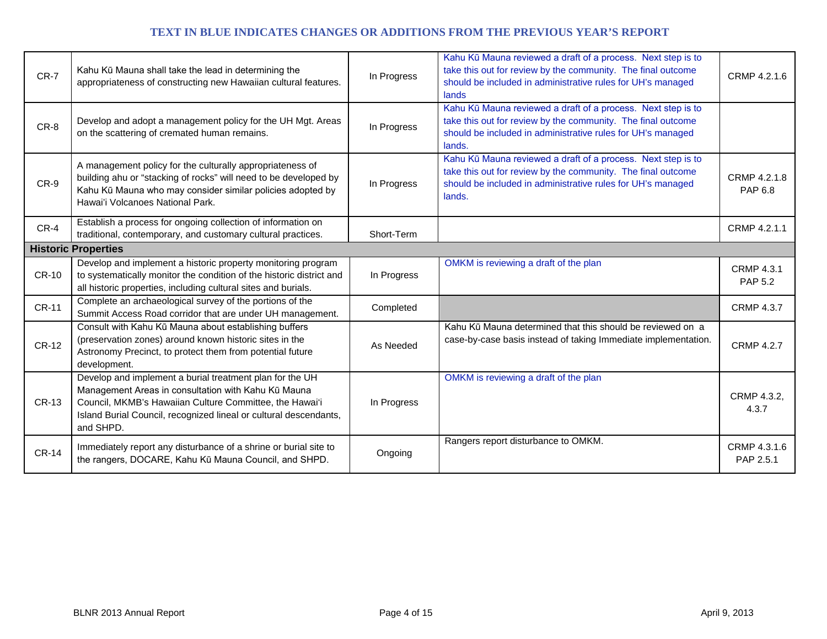| CR-7         | Kahu Kū Mauna shall take the lead in determining the<br>appropriateness of constructing new Hawaiian cultural features.                                                                                                                                      | In Progress | Kahu Kū Mauna reviewed a draft of a process. Next step is to<br>take this out for review by the community. The final outcome<br>should be included in administrative rules for UH's managed<br>lands  | CRMP 4.2.1.6                        |
|--------------|--------------------------------------------------------------------------------------------------------------------------------------------------------------------------------------------------------------------------------------------------------------|-------------|-------------------------------------------------------------------------------------------------------------------------------------------------------------------------------------------------------|-------------------------------------|
| CR-8         | Develop and adopt a management policy for the UH Mgt. Areas<br>on the scattering of cremated human remains.                                                                                                                                                  | In Progress | Kahu Kū Mauna reviewed a draft of a process. Next step is to<br>take this out for review by the community. The final outcome<br>should be included in administrative rules for UH's managed<br>lands. |                                     |
| CR-9         | A management policy for the culturally appropriateness of<br>building ahu or "stacking of rocks" will need to be developed by<br>Kahu Kū Mauna who may consider similar policies adopted by<br>Hawai'i Volcanoes National Park.                              | In Progress | Kahu Kū Mauna reviewed a draft of a process. Next step is to<br>take this out for review by the community. The final outcome<br>should be included in administrative rules for UH's managed<br>lands. | CRMP 4.2.1.8<br><b>PAP 6.8</b>      |
| $CR-4$       | Establish a process for ongoing collection of information on<br>traditional, contemporary, and customary cultural practices.                                                                                                                                 | Short-Term  |                                                                                                                                                                                                       | CRMP 4.2.1.1                        |
|              | <b>Historic Properties</b>                                                                                                                                                                                                                                   |             |                                                                                                                                                                                                       |                                     |
| <b>CR-10</b> | Develop and implement a historic property monitoring program<br>to systematically monitor the condition of the historic district and<br>all historic properties, including cultural sites and burials.                                                       | In Progress | OMKM is reviewing a draft of the plan                                                                                                                                                                 | <b>CRMP 4.3.1</b><br><b>PAP 5.2</b> |
| <b>CR-11</b> | Complete an archaeological survey of the portions of the<br>Summit Access Road corridor that are under UH management.                                                                                                                                        | Completed   |                                                                                                                                                                                                       | <b>CRMP 4.3.7</b>                   |
| <b>CR-12</b> | Consult with Kahu Kū Mauna about establishing buffers<br>(preservation zones) around known historic sites in the<br>Astronomy Precinct, to protect them from potential future<br>development.                                                                | As Needed   | Kahu Kū Mauna determined that this should be reviewed on a<br>case-by-case basis instead of taking Immediate implementation.                                                                          | <b>CRMP 4.2.7</b>                   |
| CR-13        | Develop and implement a burial treatment plan for the UH<br>Management Areas in consultation with Kahu Kū Mauna<br>Council, MKMB's Hawaiian Culture Committee, the Hawai'i<br>Island Burial Council, recognized lineal or cultural descendants,<br>and SHPD. | In Progress | OMKM is reviewing a draft of the plan                                                                                                                                                                 | CRMP 4.3.2.<br>4.3.7                |
| <b>CR-14</b> | Immediately report any disturbance of a shrine or burial site to<br>the rangers, DOCARE, Kahu Kū Mauna Council, and SHPD.                                                                                                                                    | Ongoing     | Rangers report disturbance to OMKM.                                                                                                                                                                   | CRMP 4.3.1.6<br>PAP 2.5.1           |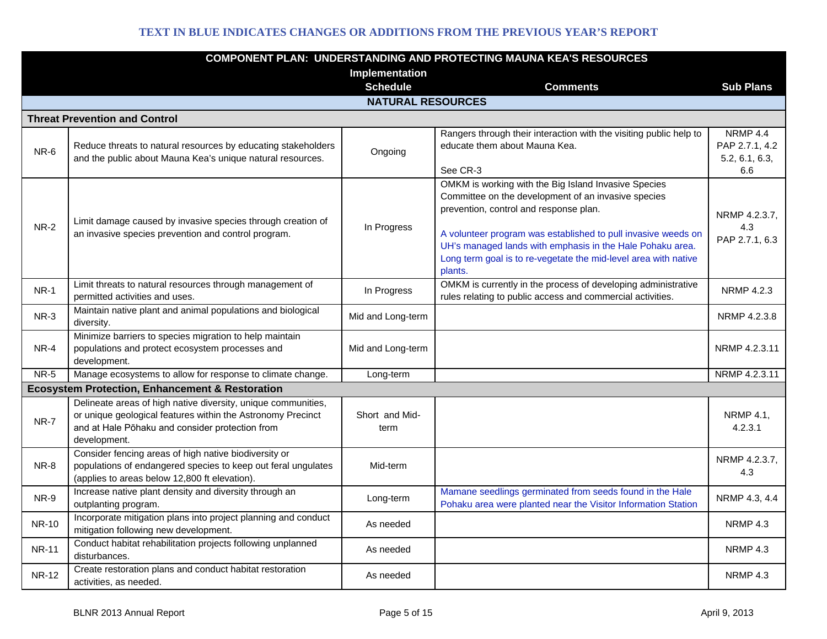|              | <b>COMPONENT PLAN: UNDERSTANDING AND PROTECTING MAUNA KEA'S RESOURCES</b>                                                                                                                       |                          |                                                                                                                                                                                                                                                                                                                                                                   |                                                            |  |
|--------------|-------------------------------------------------------------------------------------------------------------------------------------------------------------------------------------------------|--------------------------|-------------------------------------------------------------------------------------------------------------------------------------------------------------------------------------------------------------------------------------------------------------------------------------------------------------------------------------------------------------------|------------------------------------------------------------|--|
|              |                                                                                                                                                                                                 | Implementation           |                                                                                                                                                                                                                                                                                                                                                                   |                                                            |  |
|              |                                                                                                                                                                                                 | <b>Schedule</b>          | <b>Comments</b>                                                                                                                                                                                                                                                                                                                                                   | <b>Sub Plans</b>                                           |  |
|              |                                                                                                                                                                                                 | <b>NATURAL RESOURCES</b> |                                                                                                                                                                                                                                                                                                                                                                   |                                                            |  |
|              | <b>Threat Prevention and Control</b>                                                                                                                                                            |                          |                                                                                                                                                                                                                                                                                                                                                                   |                                                            |  |
| NR-6         | Reduce threats to natural resources by educating stakeholders<br>and the public about Mauna Kea's unique natural resources.                                                                     | Ongoing                  | Rangers through their interaction with the visiting public help to<br>educate them about Mauna Kea.<br>See CR-3                                                                                                                                                                                                                                                   | <b>NRMP 4.4</b><br>PAP 2.7.1, 4.2<br>5.2, 6.1, 6.3,<br>6.6 |  |
| $NR-2$       | Limit damage caused by invasive species through creation of<br>an invasive species prevention and control program.                                                                              | In Progress              | OMKM is working with the Big Island Invasive Species<br>Committee on the development of an invasive species<br>prevention, control and response plan.<br>A volunteer program was established to pull invasive weeds on<br>UH's managed lands with emphasis in the Hale Pohaku area.<br>Long term goal is to re-vegetate the mid-level area with native<br>plants. | NRMP 4.2.3.7,<br>4.3<br>PAP 2.7.1, 6.3                     |  |
| <b>NR-1</b>  | Limit threats to natural resources through management of<br>permitted activities and uses.                                                                                                      | In Progress              | OMKM is currently in the process of developing administrative<br>rules relating to public access and commercial activities.                                                                                                                                                                                                                                       | <b>NRMP 4.2.3</b>                                          |  |
| NR-3         | Maintain native plant and animal populations and biological<br>diversity.                                                                                                                       | Mid and Long-term        |                                                                                                                                                                                                                                                                                                                                                                   | NRMP 4.2.3.8                                               |  |
| NR-4         | Minimize barriers to species migration to help maintain<br>populations and protect ecosystem processes and<br>development.                                                                      | Mid and Long-term        |                                                                                                                                                                                                                                                                                                                                                                   | NRMP 4.2.3.11                                              |  |
| <b>NR-5</b>  | Manage ecosystems to allow for response to climate change.                                                                                                                                      | Long-term                |                                                                                                                                                                                                                                                                                                                                                                   | NRMP 4.2.3.11                                              |  |
|              | <b>Ecosystem Protection, Enhancement &amp; Restoration</b>                                                                                                                                      |                          |                                                                                                                                                                                                                                                                                                                                                                   |                                                            |  |
| NR-7         | Delineate areas of high native diversity, unique communities,<br>or unique geological features within the Astronomy Precinct<br>and at Hale Pōhaku and consider protection from<br>development. | Short and Mid-<br>term   |                                                                                                                                                                                                                                                                                                                                                                   | <b>NRMP 4.1.</b><br>4.2.3.1                                |  |
| <b>NR-8</b>  | Consider fencing areas of high native biodiversity or<br>populations of endangered species to keep out feral ungulates<br>(applies to areas below 12,800 ft elevation).                         | Mid-term                 |                                                                                                                                                                                                                                                                                                                                                                   | NRMP 4.2.3.7,<br>4.3                                       |  |
| NR-9         | Increase native plant density and diversity through an<br>outplanting program.                                                                                                                  | Long-term                | Mamane seedlings germinated from seeds found in the Hale<br>Pohaku area were planted near the Visitor Information Station                                                                                                                                                                                                                                         | NRMP 4.3, 4.4                                              |  |
| <b>NR-10</b> | Incorporate mitigation plans into project planning and conduct<br>mitigation following new development.                                                                                         | As needed                |                                                                                                                                                                                                                                                                                                                                                                   | NRMP 4.3                                                   |  |
| <b>NR-11</b> | Conduct habitat rehabilitation projects following unplanned<br>disturbances.                                                                                                                    | As needed                |                                                                                                                                                                                                                                                                                                                                                                   | <b>NRMP 4.3</b>                                            |  |
| <b>NR-12</b> | Create restoration plans and conduct habitat restoration<br>activities, as needed.                                                                                                              | As needed                |                                                                                                                                                                                                                                                                                                                                                                   | NRMP 4.3                                                   |  |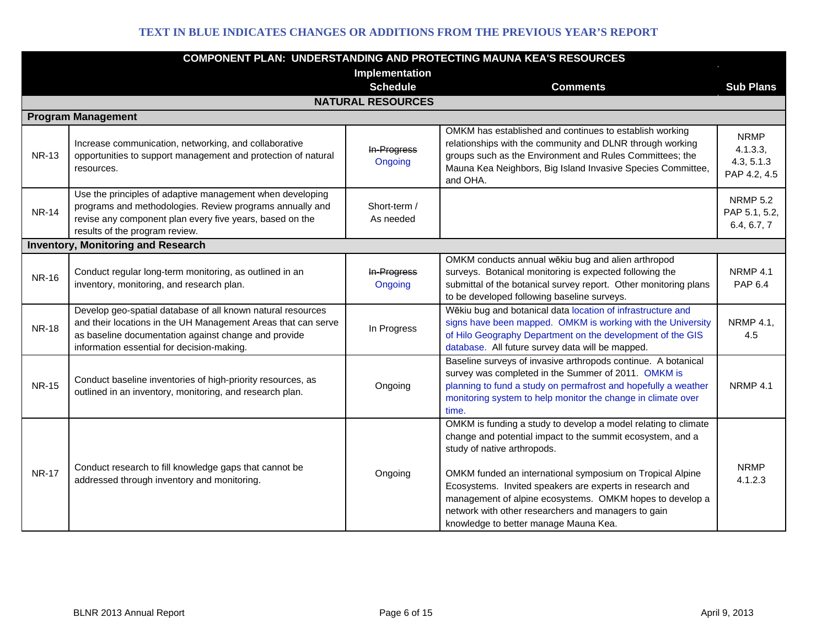|              | <b>COMPONENT PLAN: UNDERSTANDING AND PROTECTING MAUNA KEA'S RESOURCES</b>                                                                                                                                                          |                           |                                                                                                                                                                                                                                                                                                                                                                                                                                                  |                                                       |
|--------------|------------------------------------------------------------------------------------------------------------------------------------------------------------------------------------------------------------------------------------|---------------------------|--------------------------------------------------------------------------------------------------------------------------------------------------------------------------------------------------------------------------------------------------------------------------------------------------------------------------------------------------------------------------------------------------------------------------------------------------|-------------------------------------------------------|
|              |                                                                                                                                                                                                                                    | Implementation            |                                                                                                                                                                                                                                                                                                                                                                                                                                                  |                                                       |
|              |                                                                                                                                                                                                                                    | <b>Schedule</b>           | <b>Comments</b>                                                                                                                                                                                                                                                                                                                                                                                                                                  | <b>Sub Plans</b>                                      |
|              |                                                                                                                                                                                                                                    | <b>NATURAL RESOURCES</b>  |                                                                                                                                                                                                                                                                                                                                                                                                                                                  |                                                       |
|              | <b>Program Management</b>                                                                                                                                                                                                          |                           |                                                                                                                                                                                                                                                                                                                                                                                                                                                  |                                                       |
| <b>NR-13</b> | Increase communication, networking, and collaborative<br>opportunities to support management and protection of natural<br>resources.                                                                                               | In-Progress<br>Ongoing    | OMKM has established and continues to establish working<br>relationships with the community and DLNR through working<br>groups such as the Environment and Rules Committees; the<br>Mauna Kea Neighbors, Big Island Invasive Species Committee,<br>and OHA.                                                                                                                                                                                      | <b>NRMP</b><br>4.1.3.3,<br>4.3, 5.1.3<br>PAP 4.2, 4.5 |
| <b>NR-14</b> | Use the principles of adaptive management when developing<br>programs and methodologies. Review programs annually and<br>revise any component plan every five years, based on the<br>results of the program review.                | Short-term /<br>As needed |                                                                                                                                                                                                                                                                                                                                                                                                                                                  | <b>NRMP 5.2</b><br>PAP 5.1, 5.2,<br>6.4, 6.7, 7       |
|              | <b>Inventory, Monitoring and Research</b>                                                                                                                                                                                          |                           |                                                                                                                                                                                                                                                                                                                                                                                                                                                  |                                                       |
| <b>NR-16</b> | Conduct regular long-term monitoring, as outlined in an<br>inventory, monitoring, and research plan.                                                                                                                               | In-Progress<br>Ongoing    | OMKM conducts annual wēkiu bug and alien arthropod<br>surveys. Botanical monitoring is expected following the<br>submittal of the botanical survey report. Other monitoring plans<br>to be developed following baseline surveys.                                                                                                                                                                                                                 | NRMP 4.1<br><b>PAP 6.4</b>                            |
| <b>NR-18</b> | Develop geo-spatial database of all known natural resources<br>and their locations in the UH Management Areas that can serve<br>as baseline documentation against change and provide<br>information essential for decision-making. | In Progress               | Wēkiu bug and botanical data location of infrastructure and<br>signs have been mapped. OMKM is working with the University<br>of Hilo Geography Department on the development of the GIS<br>database. All future survey data will be mapped.                                                                                                                                                                                                     | <b>NRMP 4.1,</b><br>4.5                               |
| <b>NR-15</b> | Conduct baseline inventories of high-priority resources, as<br>outlined in an inventory, monitoring, and research plan.                                                                                                            | Ongoing                   | Baseline surveys of invasive arthropods continue. A botanical<br>survey was completed in the Summer of 2011. OMKM is<br>planning to fund a study on permafrost and hopefully a weather<br>monitoring system to help monitor the change in climate over<br>time.                                                                                                                                                                                  | NRMP 4.1                                              |
| <b>NR-17</b> | Conduct research to fill knowledge gaps that cannot be<br>addressed through inventory and monitoring.                                                                                                                              | Ongoing                   | OMKM is funding a study to develop a model relating to climate<br>change and potential impact to the summit ecosystem, and a<br>study of native arthropods.<br>OMKM funded an international symposium on Tropical Alpine<br>Ecosystems. Invited speakers are experts in research and<br>management of alpine ecosystems. OMKM hopes to develop a<br>network with other researchers and managers to gain<br>knowledge to better manage Mauna Kea. | <b>NRMP</b><br>4.1.2.3                                |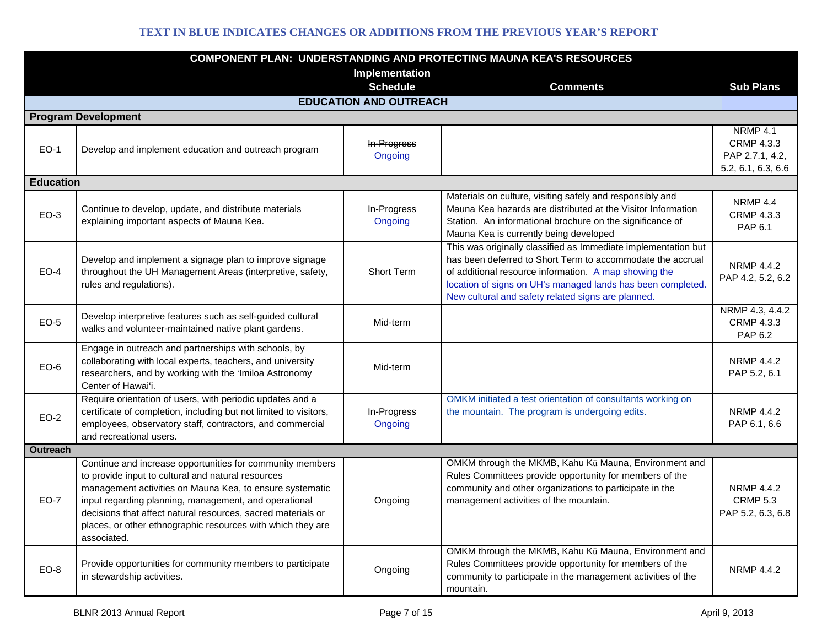|                  | <b>COMPONENT PLAN: UNDERSTANDING AND PROTECTING MAUNA KEA'S RESOURCES</b>                                                                                                                                                                                                                                                                                                          |                               |                                                                                                                                                                                                                                                                                                            |                                                                        |
|------------------|------------------------------------------------------------------------------------------------------------------------------------------------------------------------------------------------------------------------------------------------------------------------------------------------------------------------------------------------------------------------------------|-------------------------------|------------------------------------------------------------------------------------------------------------------------------------------------------------------------------------------------------------------------------------------------------------------------------------------------------------|------------------------------------------------------------------------|
|                  |                                                                                                                                                                                                                                                                                                                                                                                    | Implementation                |                                                                                                                                                                                                                                                                                                            |                                                                        |
|                  |                                                                                                                                                                                                                                                                                                                                                                                    | <b>Schedule</b>               | <b>Comments</b>                                                                                                                                                                                                                                                                                            | <b>Sub Plans</b>                                                       |
|                  |                                                                                                                                                                                                                                                                                                                                                                                    | <b>EDUCATION AND OUTREACH</b> |                                                                                                                                                                                                                                                                                                            |                                                                        |
|                  | <b>Program Development</b>                                                                                                                                                                                                                                                                                                                                                         |                               |                                                                                                                                                                                                                                                                                                            |                                                                        |
| <b>EO-1</b>      | Develop and implement education and outreach program                                                                                                                                                                                                                                                                                                                               | In-Progress<br>Ongoing        |                                                                                                                                                                                                                                                                                                            | <b>NRMP 4.1</b><br>CRMP 4.3.3<br>PAP 2.7.1, 4.2,<br>5.2, 6.1, 6.3, 6.6 |
| <b>Education</b> |                                                                                                                                                                                                                                                                                                                                                                                    |                               |                                                                                                                                                                                                                                                                                                            |                                                                        |
| $EO-3$           | Continue to develop, update, and distribute materials<br>explaining important aspects of Mauna Kea.                                                                                                                                                                                                                                                                                | In-Progress<br>Ongoing        | Materials on culture, visiting safely and responsibly and<br>Mauna Kea hazards are distributed at the Visitor Information<br>Station. An informational brochure on the significance of<br>Mauna Kea is currently being developed                                                                           | NRMP 4.4<br><b>CRMP 4.3.3</b><br>PAP 6.1                               |
| $EO-4$           | Develop and implement a signage plan to improve signage<br>throughout the UH Management Areas (interpretive, safety,<br>rules and regulations).                                                                                                                                                                                                                                    | Short Term                    | This was originally classified as Immediate implementation but<br>has been deferred to Short Term to accommodate the accrual<br>of additional resource information. A map showing the<br>location of signs on UH's managed lands has been completed.<br>New cultural and safety related signs are planned. | <b>NRMP 4.4.2</b><br>PAP 4.2, 5.2, 6.2                                 |
| $EO-5$           | Develop interpretive features such as self-guided cultural<br>walks and volunteer-maintained native plant gardens.                                                                                                                                                                                                                                                                 | Mid-term                      |                                                                                                                                                                                                                                                                                                            | NRMP 4.3, 4.4.2<br>CRMP 4.3.3<br>PAP 6.2                               |
| $EO-6$           | Engage in outreach and partnerships with schools, by<br>collaborating with local experts, teachers, and university<br>researchers, and by working with the 'Imiloa Astronomy<br>Center of Hawai'i.                                                                                                                                                                                 | Mid-term                      |                                                                                                                                                                                                                                                                                                            | NRMP 4.4.2<br>PAP 5.2, 6.1                                             |
| $EO-2$           | Require orientation of users, with periodic updates and a<br>certificate of completion, including but not limited to visitors,<br>employees, observatory staff, contractors, and commercial<br>and recreational users.                                                                                                                                                             | In-Progress<br>Ongoing        | OMKM initiated a test orientation of consultants working on<br>the mountain. The program is undergoing edits.                                                                                                                                                                                              | <b>NRMP 4.4.2</b><br>PAP 6.1, 6.6                                      |
| <b>Outreach</b>  |                                                                                                                                                                                                                                                                                                                                                                                    |                               |                                                                                                                                                                                                                                                                                                            |                                                                        |
| <b>EO-7</b>      | Continue and increase opportunities for community members<br>to provide input to cultural and natural resources<br>management activities on Mauna Kea, to ensure systematic<br>input regarding planning, management, and operational<br>decisions that affect natural resources, sacred materials or<br>places, or other ethnographic resources with which they are<br>associated. | Ongoing                       | OMKM through the MKMB, Kahu Kū Mauna, Environment and<br>Rules Committees provide opportunity for members of the<br>community and other organizations to participate in the<br>management activities of the mountain.                                                                                      | <b>NRMP 4.4.2</b><br><b>CRMP 5.3</b><br>PAP 5.2, 6.3, 6.8              |
| $EO-8$           | Provide opportunities for community members to participate<br>in stewardship activities.                                                                                                                                                                                                                                                                                           | Ongoing                       | OMKM through the MKMB, Kahu Kū Mauna, Environment and<br>Rules Committees provide opportunity for members of the<br>community to participate in the management activities of the<br>mountain.                                                                                                              | NRMP 4.4.2                                                             |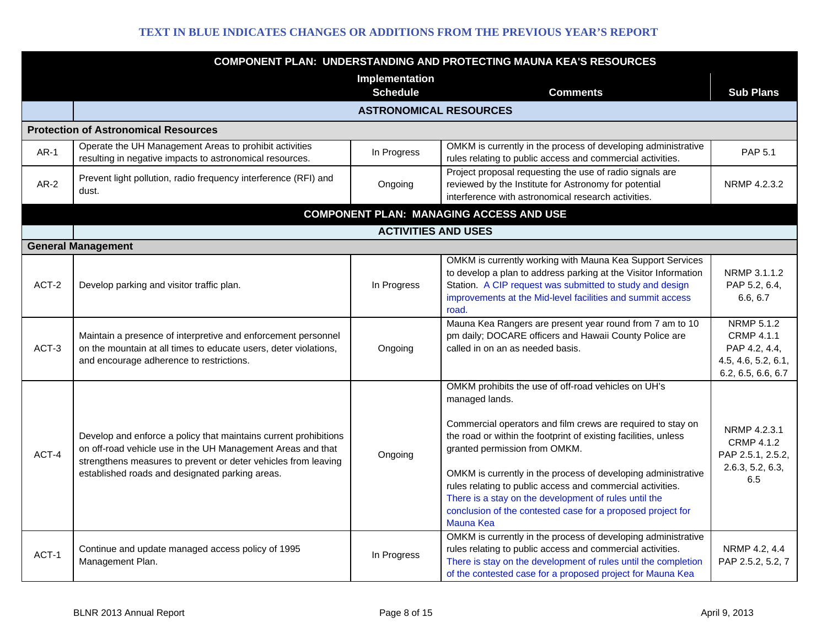|        | <b>COMPONENT PLAN: UNDERSTANDING AND PROTECTING MAUNA KEA'S RESOURCES</b>                                                                                                                                                                            |                                   |                                                                                                                                                                                                                                                                                                                                                                                                                                                                                                                     |                                                                                               |  |
|--------|------------------------------------------------------------------------------------------------------------------------------------------------------------------------------------------------------------------------------------------------------|-----------------------------------|---------------------------------------------------------------------------------------------------------------------------------------------------------------------------------------------------------------------------------------------------------------------------------------------------------------------------------------------------------------------------------------------------------------------------------------------------------------------------------------------------------------------|-----------------------------------------------------------------------------------------------|--|
|        |                                                                                                                                                                                                                                                      | Implementation<br><b>Schedule</b> | <b>Comments</b>                                                                                                                                                                                                                                                                                                                                                                                                                                                                                                     | <b>Sub Plans</b>                                                                              |  |
|        |                                                                                                                                                                                                                                                      | <b>ASTRONOMICAL RESOURCES</b>     |                                                                                                                                                                                                                                                                                                                                                                                                                                                                                                                     |                                                                                               |  |
|        | <b>Protection of Astronomical Resources</b>                                                                                                                                                                                                          |                                   |                                                                                                                                                                                                                                                                                                                                                                                                                                                                                                                     |                                                                                               |  |
| $AR-1$ | Operate the UH Management Areas to prohibit activities<br>resulting in negative impacts to astronomical resources.                                                                                                                                   | In Progress                       | OMKM is currently in the process of developing administrative<br>rules relating to public access and commercial activities.                                                                                                                                                                                                                                                                                                                                                                                         | PAP 5.1                                                                                       |  |
| $AR-2$ | Prevent light pollution, radio frequency interference (RFI) and<br>dust.                                                                                                                                                                             | Ongoing                           | Project proposal requesting the use of radio signals are<br>reviewed by the Institute for Astronomy for potential<br>interference with astronomical research activities.                                                                                                                                                                                                                                                                                                                                            | NRMP 4.2.3.2                                                                                  |  |
|        |                                                                                                                                                                                                                                                      |                                   | <b>COMPONENT PLAN: MANAGING ACCESS AND USE</b>                                                                                                                                                                                                                                                                                                                                                                                                                                                                      |                                                                                               |  |
|        |                                                                                                                                                                                                                                                      | <b>ACTIVITIES AND USES</b>        |                                                                                                                                                                                                                                                                                                                                                                                                                                                                                                                     |                                                                                               |  |
|        | <b>General Management</b>                                                                                                                                                                                                                            |                                   |                                                                                                                                                                                                                                                                                                                                                                                                                                                                                                                     |                                                                                               |  |
| ACT-2  | Develop parking and visitor traffic plan.                                                                                                                                                                                                            | In Progress                       | OMKM is currently working with Mauna Kea Support Services<br>to develop a plan to address parking at the Visitor Information<br>Station. A CIP request was submitted to study and design<br>improvements at the Mid-level facilities and summit access<br>road.                                                                                                                                                                                                                                                     | NRMP 3.1.1.2<br>PAP 5.2, 6.4,<br>6.6, 6.7                                                     |  |
| ACT-3  | Maintain a presence of interpretive and enforcement personnel<br>on the mountain at all times to educate users, deter violations,<br>and encourage adherence to restrictions.                                                                        | Ongoing                           | Mauna Kea Rangers are present year round from 7 am to 10<br>pm daily; DOCARE officers and Hawaii County Police are<br>called in on an as needed basis.                                                                                                                                                                                                                                                                                                                                                              | <b>NRMP 5.1.2</b><br>CRMP 4.1.1<br>PAP 4.2, 4.4,<br>4.5, 4.6, 5.2, 6.1,<br>6.2, 6.5, 6.6, 6.7 |  |
| ACT-4  | Develop and enforce a policy that maintains current prohibitions<br>on off-road vehicle use in the UH Management Areas and that<br>strengthens measures to prevent or deter vehicles from leaving<br>established roads and designated parking areas. | Ongoing                           | OMKM prohibits the use of off-road vehicles on UH's<br>managed lands.<br>Commercial operators and film crews are required to stay on<br>the road or within the footprint of existing facilities, unless<br>granted permission from OMKM.<br>OMKM is currently in the process of developing administrative<br>rules relating to public access and commercial activities.<br>There is a stay on the development of rules until the<br>conclusion of the contested case for a proposed project for<br><b>Mauna Kea</b> | NRMP 4.2.3.1<br>CRMP 4.1.2<br>PAP 2.5.1, 2.5.2,<br>2.6.3, 5.2, 6.3,<br>6.5                    |  |
| ACT-1  | Continue and update managed access policy of 1995<br>Management Plan.                                                                                                                                                                                | In Progress                       | OMKM is currently in the process of developing administrative<br>rules relating to public access and commercial activities.<br>There is stay on the development of rules until the completion<br>of the contested case for a proposed project for Mauna Kea                                                                                                                                                                                                                                                         | NRMP 4.2, 4.4<br>PAP 2.5.2, 5.2, 7                                                            |  |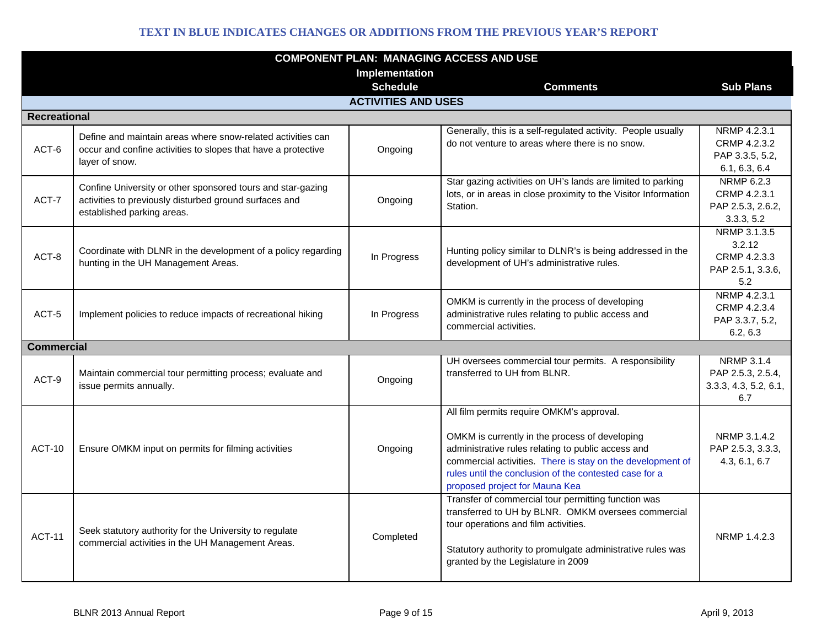|                     | <b>COMPONENT PLAN: MANAGING ACCESS AND USE</b>                                                                                                      |                 |                                                                                                                                                                                                                                                                                                             |                                                                        |
|---------------------|-----------------------------------------------------------------------------------------------------------------------------------------------------|-----------------|-------------------------------------------------------------------------------------------------------------------------------------------------------------------------------------------------------------------------------------------------------------------------------------------------------------|------------------------------------------------------------------------|
|                     |                                                                                                                                                     | Implementation  |                                                                                                                                                                                                                                                                                                             |                                                                        |
|                     |                                                                                                                                                     | <b>Schedule</b> | <b>Comments</b>                                                                                                                                                                                                                                                                                             | <b>Sub Plans</b>                                                       |
|                     | <b>ACTIVITIES AND USES</b>                                                                                                                          |                 |                                                                                                                                                                                                                                                                                                             |                                                                        |
| <b>Recreational</b> |                                                                                                                                                     |                 |                                                                                                                                                                                                                                                                                                             |                                                                        |
| ACT-6               | Define and maintain areas where snow-related activities can<br>occur and confine activities to slopes that have a protective<br>layer of snow.      | Ongoing         | Generally, this is a self-regulated activity. People usually<br>do not venture to areas where there is no snow.                                                                                                                                                                                             | NRMP 4.2.3.1<br>CRMP 4.2.3.2<br>PAP 3.3.5, 5.2,<br>6.1, 6.3, 6.4       |
| ACT-7               | Confine University or other sponsored tours and star-gazing<br>activities to previously disturbed ground surfaces and<br>established parking areas. | Ongoing         | Star gazing activities on UH's lands are limited to parking<br>lots, or in areas in close proximity to the Visitor Information<br>Station.                                                                                                                                                                  | <b>NRMP 6.2.3</b><br>CRMP 4.2.3.1<br>PAP 2.5.3, 2.6.2,<br>3.3.3, 5.2   |
| ACT-8               | Coordinate with DLNR in the development of a policy regarding<br>hunting in the UH Management Areas.                                                | In Progress     | Hunting policy similar to DLNR's is being addressed in the<br>development of UH's administrative rules.                                                                                                                                                                                                     | NRMP 3.1.3.5<br>3.2.12<br>CRMP 4.2.3.3<br>PAP 2.5.1, 3.3.6,<br>5.2     |
| ACT-5               | Implement policies to reduce impacts of recreational hiking                                                                                         | In Progress     | OMKM is currently in the process of developing<br>administrative rules relating to public access and<br>commercial activities.                                                                                                                                                                              | NRMP 4.2.3.1<br>CRMP 4.2.3.4<br>PAP 3.3.7, 5.2,<br>6.2, 6.3            |
| <b>Commercial</b>   |                                                                                                                                                     |                 |                                                                                                                                                                                                                                                                                                             |                                                                        |
| ACT-9               | Maintain commercial tour permitting process; evaluate and<br>issue permits annually.                                                                | Ongoing         | UH oversees commercial tour permits. A responsibility<br>transferred to UH from BLNR.                                                                                                                                                                                                                       | <b>NRMP 3.1.4</b><br>PAP 2.5.3, 2.5.4,<br>3.3.3, 4.3, 5.2, 6.1,<br>6.7 |
| <b>ACT-10</b>       | Ensure OMKM input on permits for filming activities                                                                                                 | Ongoing         | All film permits require OMKM's approval.<br>OMKM is currently in the process of developing<br>administrative rules relating to public access and<br>commercial activities. There is stay on the development of<br>rules until the conclusion of the contested case for a<br>proposed project for Mauna Kea | NRMP 3.1.4.2<br>PAP 2.5.3, 3.3.3,<br>4.3, 6.1, 6.7                     |
| <b>ACT-11</b>       | Seek statutory authority for the University to regulate<br>commercial activities in the UH Management Areas.                                        | Completed       | Transfer of commercial tour permitting function was<br>transferred to UH by BLNR. OMKM oversees commercial<br>tour operations and film activities.<br>Statutory authority to promulgate administrative rules was<br>granted by the Legislature in 2009                                                      | NRMP 1.4.2.3                                                           |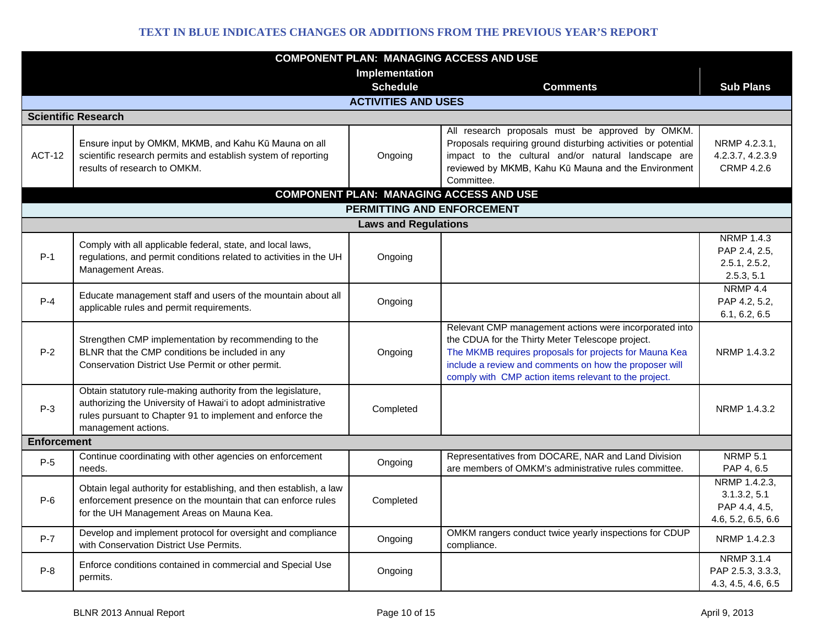|                    | <b>COMPONENT PLAN: MANAGING ACCESS AND USE</b>                                                                                                                                                                    |                             |                                                                                                                                                                                                                                                                                         |                                                                      |
|--------------------|-------------------------------------------------------------------------------------------------------------------------------------------------------------------------------------------------------------------|-----------------------------|-----------------------------------------------------------------------------------------------------------------------------------------------------------------------------------------------------------------------------------------------------------------------------------------|----------------------------------------------------------------------|
|                    |                                                                                                                                                                                                                   | Implementation              |                                                                                                                                                                                                                                                                                         |                                                                      |
|                    |                                                                                                                                                                                                                   | <b>Schedule</b>             | <b>Comments</b>                                                                                                                                                                                                                                                                         | <b>Sub Plans</b>                                                     |
|                    |                                                                                                                                                                                                                   | <b>ACTIVITIES AND USES</b>  |                                                                                                                                                                                                                                                                                         |                                                                      |
|                    | <b>Scientific Research</b>                                                                                                                                                                                        |                             |                                                                                                                                                                                                                                                                                         |                                                                      |
| <b>ACT-12</b>      | Ensure input by OMKM, MKMB, and Kahu Kū Mauna on all<br>scientific research permits and establish system of reporting<br>results of research to OMKM.                                                             | Ongoing                     | All research proposals must be approved by OMKM.<br>Proposals requiring ground disturbing activities or potential<br>impact to the cultural and/or natural landscape are<br>reviewed by MKMB, Kahu Kū Mauna and the Environment<br>Committee.                                           | NRMP 4.2.3.1,<br>4.2.3.7, 4.2.3.9<br><b>CRMP 4.2.6</b>               |
|                    |                                                                                                                                                                                                                   |                             | <b>COMPONENT PLAN: MANAGING ACCESS AND USE</b>                                                                                                                                                                                                                                          |                                                                      |
|                    |                                                                                                                                                                                                                   | PERMITTING AND ENFORCEMENT  |                                                                                                                                                                                                                                                                                         |                                                                      |
|                    |                                                                                                                                                                                                                   | <b>Laws and Regulations</b> |                                                                                                                                                                                                                                                                                         |                                                                      |
| $P-1$              | Comply with all applicable federal, state, and local laws,<br>regulations, and permit conditions related to activities in the UH<br>Management Areas.                                                             | Ongoing                     |                                                                                                                                                                                                                                                                                         | <b>NRMP 1.4.3</b><br>PAP 2.4, 2.5,<br>2.5.1, 2.5.2,<br>2.5.3, 5.1    |
| $P-4$              | Educate management staff and users of the mountain about all<br>applicable rules and permit requirements.                                                                                                         | Ongoing                     |                                                                                                                                                                                                                                                                                         | <b>NRMP 4.4</b><br>PAP 4.2, 5.2,<br>6.1, 6.2, 6.5                    |
| $P-2$              | Strengthen CMP implementation by recommending to the<br>BLNR that the CMP conditions be included in any<br>Conservation District Use Permit or other permit.                                                      | Ongoing                     | Relevant CMP management actions were incorporated into<br>the CDUA for the Thirty Meter Telescope project.<br>The MKMB requires proposals for projects for Mauna Kea<br>include a review and comments on how the proposer will<br>comply with CMP action items relevant to the project. | NRMP 1.4.3.2                                                         |
| $P-3$              | Obtain statutory rule-making authority from the legislature,<br>authorizing the University of Hawai'i to adopt administrative<br>rules pursuant to Chapter 91 to implement and enforce the<br>management actions. | Completed                   |                                                                                                                                                                                                                                                                                         | NRMP 1.4.3.2                                                         |
| <b>Enforcement</b> |                                                                                                                                                                                                                   |                             |                                                                                                                                                                                                                                                                                         |                                                                      |
| $P-5$              | Continue coordinating with other agencies on enforcement<br>needs.                                                                                                                                                | Ongoing                     | Representatives from DOCARE, NAR and Land Division<br>are members of OMKM's administrative rules committee.                                                                                                                                                                             | <b>NRMP 5.1</b><br>PAP 4, 6.5                                        |
| $P-6$              | Obtain legal authority for establishing, and then establish, a law<br>enforcement presence on the mountain that can enforce rules<br>for the UH Management Areas on Mauna Kea.                                    | Completed                   |                                                                                                                                                                                                                                                                                         | NRMP 1.4.2.3,<br>3.1.3.2, 5.1<br>PAP 4.4, 4.5,<br>4.6, 5.2, 6.5, 6.6 |
| $P-7$              | Develop and implement protocol for oversight and compliance<br>with Conservation District Use Permits.                                                                                                            | Ongoing                     | OMKM rangers conduct twice yearly inspections for CDUP<br>compliance.                                                                                                                                                                                                                   | NRMP 1.4.2.3                                                         |
| $P-8$              | Enforce conditions contained in commercial and Special Use<br>permits.                                                                                                                                            | Ongoing                     |                                                                                                                                                                                                                                                                                         | <b>NRMP 3.1.4</b><br>PAP 2.5.3, 3.3.3,<br>4.3, 4.5, 4.6, 6.5         |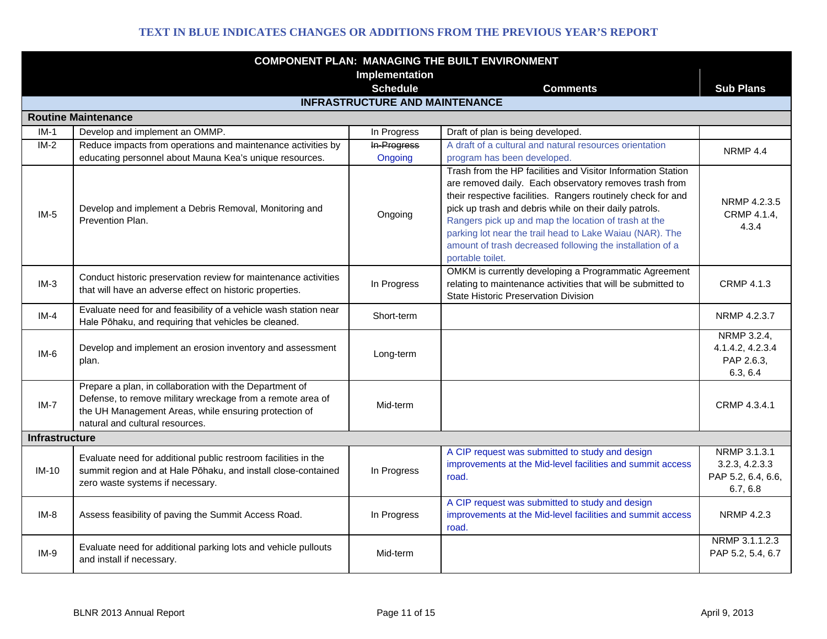| <b>COMPONENT PLAN: MANAGING THE BUILT ENVIRONMENT</b> |                                                                                                                                                                                                                   |                                       |                                                                                                                                                                                                                                                                                                                                                                                                                                                       |                                                                  |
|-------------------------------------------------------|-------------------------------------------------------------------------------------------------------------------------------------------------------------------------------------------------------------------|---------------------------------------|-------------------------------------------------------------------------------------------------------------------------------------------------------------------------------------------------------------------------------------------------------------------------------------------------------------------------------------------------------------------------------------------------------------------------------------------------------|------------------------------------------------------------------|
|                                                       |                                                                                                                                                                                                                   | Implementation<br><b>Schedule</b>     | <b>Comments</b>                                                                                                                                                                                                                                                                                                                                                                                                                                       | <b>Sub Plans</b>                                                 |
|                                                       |                                                                                                                                                                                                                   | <b>INFRASTRUCTURE AND MAINTENANCE</b> |                                                                                                                                                                                                                                                                                                                                                                                                                                                       |                                                                  |
|                                                       | <b>Routine Maintenance</b>                                                                                                                                                                                        |                                       |                                                                                                                                                                                                                                                                                                                                                                                                                                                       |                                                                  |
| $IM-1$                                                | Develop and implement an OMMP.                                                                                                                                                                                    | In Progress                           | Draft of plan is being developed.                                                                                                                                                                                                                                                                                                                                                                                                                     |                                                                  |
| $IM-2$                                                | Reduce impacts from operations and maintenance activities by                                                                                                                                                      | In-Progress                           | A draft of a cultural and natural resources orientation                                                                                                                                                                                                                                                                                                                                                                                               | <b>NRMP 4.4</b>                                                  |
|                                                       | educating personnel about Mauna Kea's unique resources.                                                                                                                                                           | Ongoing                               | program has been developed.                                                                                                                                                                                                                                                                                                                                                                                                                           |                                                                  |
| $IM-5$                                                | Develop and implement a Debris Removal, Monitoring and<br>Prevention Plan.                                                                                                                                        | Ongoing                               | Trash from the HP facilities and Visitor Information Station<br>are removed daily. Each observatory removes trash from<br>their respective facilities. Rangers routinely check for and<br>pick up trash and debris while on their daily patrols.<br>Rangers pick up and map the location of trash at the<br>parking lot near the trail head to Lake Waiau (NAR). The<br>amount of trash decreased following the installation of a<br>portable toilet. | NRMP 4.2.3.5<br>CRMP 4.1.4,<br>4.3.4                             |
| $IM-3$                                                | Conduct historic preservation review for maintenance activities<br>that will have an adverse effect on historic properties.                                                                                       | In Progress                           | OMKM is currently developing a Programmatic Agreement<br>relating to maintenance activities that will be submitted to<br><b>State Historic Preservation Division</b>                                                                                                                                                                                                                                                                                  | CRMP 4.1.3                                                       |
| $IM-4$                                                | Evaluate need for and feasibility of a vehicle wash station near<br>Hale Pōhaku, and requiring that vehicles be cleaned.                                                                                          | Short-term                            |                                                                                                                                                                                                                                                                                                                                                                                                                                                       | NRMP 4.2.3.7                                                     |
| $IM-6$                                                | Develop and implement an erosion inventory and assessment<br>plan.                                                                                                                                                | Long-term                             |                                                                                                                                                                                                                                                                                                                                                                                                                                                       | NRMP 3.2.4,<br>4.1.4.2, 4.2.3.4<br>PAP 2.6.3,<br>6.3, 6.4        |
| $IM-7$                                                | Prepare a plan, in collaboration with the Department of<br>Defense, to remove military wreckage from a remote area of<br>the UH Management Areas, while ensuring protection of<br>natural and cultural resources. | Mid-term                              |                                                                                                                                                                                                                                                                                                                                                                                                                                                       | CRMP 4.3.4.1                                                     |
| <b>Infrastructure</b>                                 |                                                                                                                                                                                                                   |                                       |                                                                                                                                                                                                                                                                                                                                                                                                                                                       |                                                                  |
| $IM-10$                                               | Evaluate need for additional public restroom facilities in the<br>summit region and at Hale Pōhaku, and install close-contained<br>zero waste systems if necessary.                                               | In Progress                           | A CIP request was submitted to study and design<br>improvements at the Mid-level facilities and summit access<br>road.                                                                                                                                                                                                                                                                                                                                | NRMP 3.1.3.1<br>3.2.3, 4.2.3.3<br>PAP 5.2, 6.4, 6.6,<br>6.7, 6.8 |
| $IM-8$                                                | Assess feasibility of paving the Summit Access Road.                                                                                                                                                              | In Progress                           | A CIP request was submitted to study and design<br>improvements at the Mid-level facilities and summit access<br>road.                                                                                                                                                                                                                                                                                                                                | <b>NRMP 4.2.3</b>                                                |
| $IM-9$                                                | Evaluate need for additional parking lots and vehicle pullouts<br>and install if necessary.                                                                                                                       | Mid-term                              |                                                                                                                                                                                                                                                                                                                                                                                                                                                       | NRMP 3.1.1.2.3<br>PAP 5.2, 5.4, 6.7                              |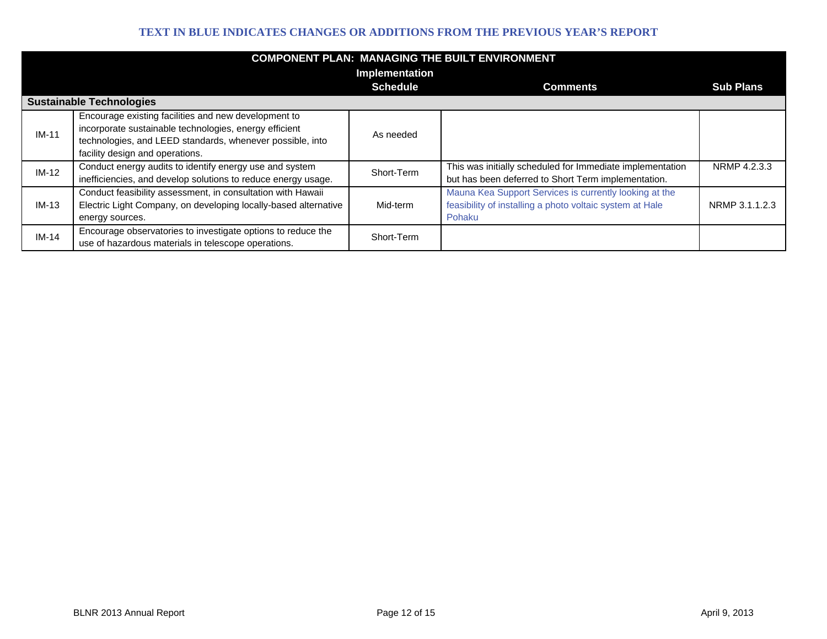|         | <b>COMPONENT PLAN: MANAGING THE BUILT ENVIRONMENT</b><br>Implementation                                                                                                                                        |                 |                                                                                                                              |                  |
|---------|----------------------------------------------------------------------------------------------------------------------------------------------------------------------------------------------------------------|-----------------|------------------------------------------------------------------------------------------------------------------------------|------------------|
|         |                                                                                                                                                                                                                | <b>Schedule</b> | <b>Comments</b>                                                                                                              | <b>Sub Plans</b> |
|         | <b>Sustainable Technologies</b>                                                                                                                                                                                |                 |                                                                                                                              |                  |
| $IM-11$ | Encourage existing facilities and new development to<br>incorporate sustainable technologies, energy efficient<br>technologies, and LEED standards, whenever possible, into<br>facility design and operations. | As needed       |                                                                                                                              |                  |
| $IM-12$ | Conduct energy audits to identify energy use and system<br>inefficiencies, and develop solutions to reduce energy usage.                                                                                       | Short-Term      | This was initially scheduled for Immediate implementation<br>but has been deferred to Short Term implementation.             | NRMP 4.2.3.3     |
| $IM-13$ | Conduct feasibility assessment, in consultation with Hawaii<br>Electric Light Company, on developing locally-based alternative<br>energy sources.                                                              | Mid-term        | Mauna Kea Support Services is currently looking at the<br>feasibility of installing a photo voltaic system at Hale<br>Pohaku | NRMP 3.1.1.2.3   |
| $IM-14$ | Encourage observatories to investigate options to reduce the<br>use of hazardous materials in telescope operations.                                                                                            | Short-Term      |                                                                                                                              |                  |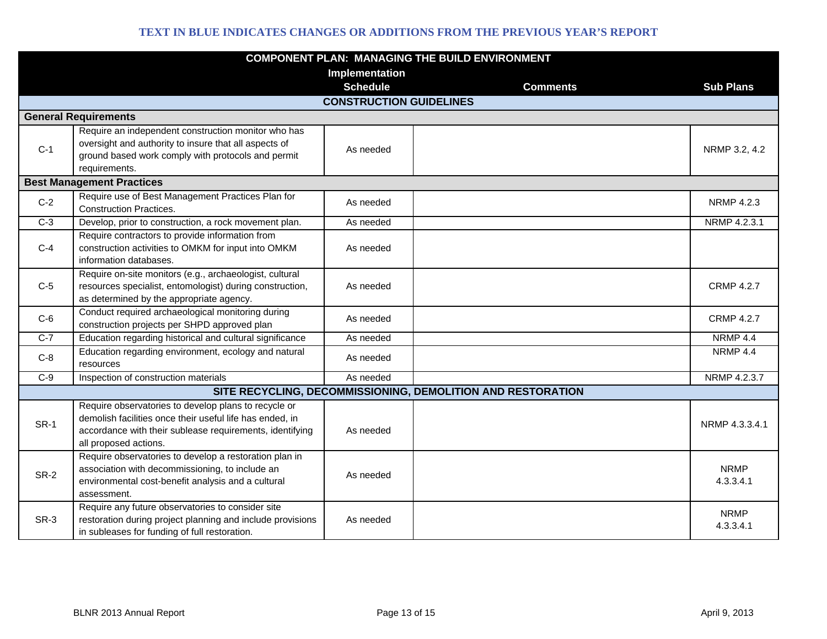|             | <b>COMPONENT PLAN: MANAGING THE BUILD ENVIRONMENT</b>                                                                                                                                                 |                                |                                                             |                          |
|-------------|-------------------------------------------------------------------------------------------------------------------------------------------------------------------------------------------------------|--------------------------------|-------------------------------------------------------------|--------------------------|
|             |                                                                                                                                                                                                       | Implementation                 |                                                             |                          |
|             |                                                                                                                                                                                                       | <b>Schedule</b>                | <b>Comments</b>                                             | <b>Sub Plans</b>         |
|             |                                                                                                                                                                                                       | <b>CONSTRUCTION GUIDELINES</b> |                                                             |                          |
|             | <b>General Requirements</b>                                                                                                                                                                           |                                |                                                             |                          |
| $C-1$       | Require an independent construction monitor who has<br>oversight and authority to insure that all aspects of<br>ground based work comply with protocols and permit<br>requirements.                   | As needed                      |                                                             | NRMP 3.2, 4.2            |
|             | <b>Best Management Practices</b>                                                                                                                                                                      |                                |                                                             |                          |
| $C-2$       | Require use of Best Management Practices Plan for<br><b>Construction Practices.</b>                                                                                                                   | As needed                      |                                                             | <b>NRMP 4.2.3</b>        |
| $C-3$       | Develop, prior to construction, a rock movement plan.                                                                                                                                                 | As needed                      |                                                             | NRMP 4.2.3.1             |
| $C-4$       | Require contractors to provide information from<br>construction activities to OMKM for input into OMKM<br>information databases.                                                                      | As needed                      |                                                             |                          |
| $C-5$       | Require on-site monitors (e.g., archaeologist, cultural<br>resources specialist, entomologist) during construction,<br>as determined by the appropriate agency.                                       | As needed                      |                                                             | <b>CRMP 4.2.7</b>        |
| $C-6$       | Conduct required archaeological monitoring during<br>construction projects per SHPD approved plan                                                                                                     | As needed                      |                                                             | <b>CRMP 4.2.7</b>        |
| $C-7$       | Education regarding historical and cultural significance                                                                                                                                              | As needed                      |                                                             | NRMP 4.4                 |
| $C-8$       | Education regarding environment, ecology and natural<br>resources                                                                                                                                     | As needed                      |                                                             | NRMP 4.4                 |
| $C-9$       | Inspection of construction materials                                                                                                                                                                  | As needed                      |                                                             | NRMP 4.2.3.7             |
|             |                                                                                                                                                                                                       |                                | SITE RECYCLING, DECOMMISSIONING, DEMOLITION AND RESTORATION |                          |
| <b>SR-1</b> | Require observatories to develop plans to recycle or<br>demolish facilities once their useful life has ended, in<br>accordance with their sublease requirements, identifying<br>all proposed actions. | As needed                      |                                                             | NRMP 4.3.3.4.1           |
| <b>SR-2</b> | Require observatories to develop a restoration plan in<br>association with decommissioning, to include an<br>environmental cost-benefit analysis and a cultural<br>assessment.                        | As needed                      |                                                             | <b>NRMP</b><br>4.3.3.4.1 |
| SR-3        | Require any future observatories to consider site<br>restoration during project planning and include provisions<br>in subleases for funding of full restoration.                                      | As needed                      |                                                             | <b>NRMP</b><br>4.3.3.4.1 |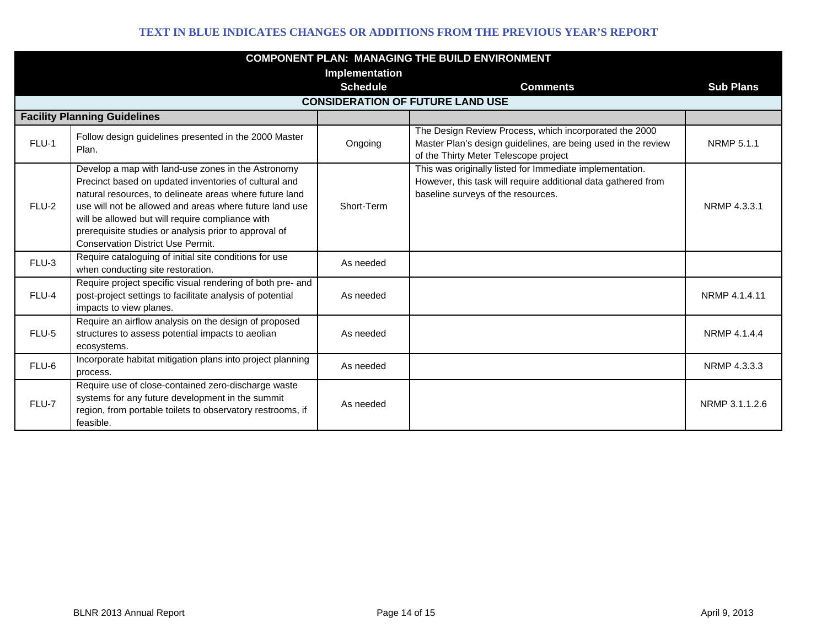| <b>COMPONENT PLAN: MANAGING THE BUILD ENVIRONMENT</b> |                                                                                                                                                                                                                                                                                                                                                                                            |                 |                                                                                                                                                                  |                   |  |  |  |
|-------------------------------------------------------|--------------------------------------------------------------------------------------------------------------------------------------------------------------------------------------------------------------------------------------------------------------------------------------------------------------------------------------------------------------------------------------------|-----------------|------------------------------------------------------------------------------------------------------------------------------------------------------------------|-------------------|--|--|--|
| Implementation                                        |                                                                                                                                                                                                                                                                                                                                                                                            |                 |                                                                                                                                                                  |                   |  |  |  |
|                                                       |                                                                                                                                                                                                                                                                                                                                                                                            | <b>Schedule</b> | <b>Comments</b>                                                                                                                                                  | <b>Sub Plans</b>  |  |  |  |
| <b>CONSIDERATION OF FUTURE LAND USE</b>               |                                                                                                                                                                                                                                                                                                                                                                                            |                 |                                                                                                                                                                  |                   |  |  |  |
| <b>Facility Planning Guidelines</b>                   |                                                                                                                                                                                                                                                                                                                                                                                            |                 |                                                                                                                                                                  |                   |  |  |  |
| FLU-1                                                 | Follow design guidelines presented in the 2000 Master<br>Plan.                                                                                                                                                                                                                                                                                                                             | Ongoing         | The Design Review Process, which incorporated the 2000<br>Master Plan's design guidelines, are being used in the review<br>of the Thirty Meter Telescope project | <b>NRMP 5.1.1</b> |  |  |  |
| FLU-2                                                 | Develop a map with land-use zones in the Astronomy<br>Precinct based on updated inventories of cultural and<br>natural resources, to delineate areas where future land<br>use will not be allowed and areas where future land use<br>will be allowed but will require compliance with<br>prerequisite studies or analysis prior to approval of<br><b>Conservation District Use Permit.</b> | Short-Term      | This was originally listed for Immediate implementation.<br>However, this task will require additional data gathered from<br>baseline surveys of the resources.  | NRMP 4.3.3.1      |  |  |  |
| FLU-3                                                 | Require cataloguing of initial site conditions for use<br>when conducting site restoration.                                                                                                                                                                                                                                                                                                | As needed       |                                                                                                                                                                  |                   |  |  |  |
| FLU-4                                                 | Require project specific visual rendering of both pre- and<br>post-project settings to facilitate analysis of potential<br>impacts to view planes.                                                                                                                                                                                                                                         | As needed       |                                                                                                                                                                  | NRMP 4.1.4.11     |  |  |  |
| FLU-5                                                 | Require an airflow analysis on the design of proposed<br>structures to assess potential impacts to aeolian<br>ecosystems.                                                                                                                                                                                                                                                                  | As needed       |                                                                                                                                                                  | NRMP 4.1.4.4      |  |  |  |
| FLU-6                                                 | Incorporate habitat mitigation plans into project planning<br>process.                                                                                                                                                                                                                                                                                                                     | As needed       |                                                                                                                                                                  | NRMP 4.3.3.3      |  |  |  |
| FLU-7                                                 | Require use of close-contained zero-discharge waste<br>systems for any future development in the summit<br>region, from portable toilets to observatory restrooms, if<br>feasible.                                                                                                                                                                                                         | As needed       |                                                                                                                                                                  | NRMP 3.1.1.2.6    |  |  |  |